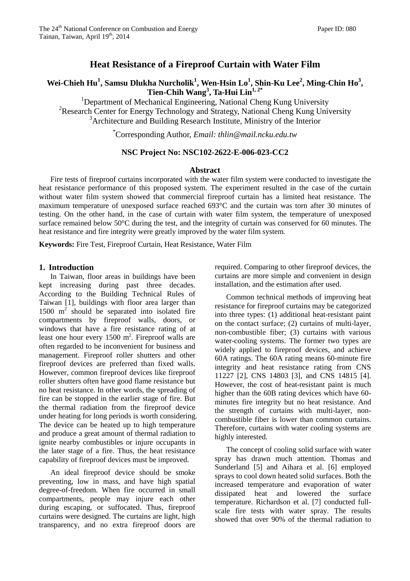## **Heat Resistance of a Fireproof Curtain with Water Film**

# **Wei-Chieh Hu<sup>1</sup> , Samsu Dlukha Nurcholik<sup>1</sup> , Wen-Hsin Lo<sup>1</sup> , Shin-Ku Lee<sup>2</sup> , Ming-Chin Ho<sup>3</sup> , Tien-Chih Wang<sup>3</sup> , Ta-Hui Lin1, 2\***

<sup>1</sup>Department of Mechanical Engineering, National Cheng Kung University <sup>2</sup>Research Center for Energy Technology and Strategy, National Cheng Kung University  $3^3$ Architecture and Building Research Institute, Ministry of the Interior

\*Corresponding Author, *Email: thlin@mail.ncku.edu.tw* 

#### **NSC Project No: NSC102-2622-E-006-023-CC2**

#### **Abstract**

Fire tests of fireproof curtains incorporated with the water film system were conducted to investigate the heat resistance performance of this proposed system. The experiment resulted in the case of the curtain without water film system showed that commercial fireproof curtain has a limited heat resistance. The maximum temperature of unexposed surface reached 693°C and the curtain was torn after 30 minutes of testing. On the other hand, in the case of curtain with water film system, the temperature of unexposed surface remained below 50°C during the test, and the integrity of curtain was conserved for 60 minutes. The heat resistance and fire integrity were greatly improved by the water film system.

**Keywords:** Fire Test, Fireproof Curtain, Heat Resistance, Water Film

### **1. Introduction**

In Taiwan, floor areas in buildings have been kept increasing during past three decades. According to the Building Technical Rules of Taiwan [1], buildings with floor area larger than 1500 m<sup>2</sup> should be separated into isolated fire compartments by fireproof walls, doors, or windows that have a fire resistance rating of at least one hour every  $1500 \text{ m}^2$ . Fireproof walls are often regarded to be inconvenient for business and management. Fireproof roller shutters and other fireproof devices are preferred than fixed walls. However, common fireproof devices like fireproof roller shutters often have good flame resistance but no heat resistance. In other words, the spreading of fire can be stopped in the earlier stage of fire. But the thermal radiation from the fireproof device under heating for long periods is worth considering. The device can be heated up to high temperature and produce a great amount of thermal radiation to ignite nearby combustibles or injure occupants in the later stage of a fire. Thus, the heat resistance capability of fireproof devices must be improved.

An ideal fireproof device should be smoke preventing, low in mass, and have high spatial degree-of-freedom. When fire occurred in small compartments, people may injure each other during escaping, or suffocated. Thus, fireproof curtains were designed. The curtains are light, high transparency, and no extra fireproof doors are required. Comparing to other fireproof devices, the curtains are more simple and convenient in design installation, and the estimation after used.

Common technical methods of improving heat resistance for fireproof curtains may be categorized into three types: (1) additional heat-resistant paint on the contact surface; (2) curtains of multi-layer, non-combustible fiber; (3) curtains with various water-cooling systems. The former two types are widely applied to fireproof devices, and achieve 60A ratings. The 60A rating means 60-minute fire integrity and heat resistance rating from CNS 11227 [2], CNS 14803 [3], and CNS 14815 [4]. However, the cost of heat-resistant paint is much higher than the 60B rating devices which have 60 minutes fire integrity but no heat resistance. And the strength of curtains with multi-layer, noncombustible fiber is lower than common curtains. Therefore, curtains with water cooling systems are highly interested.

The concept of cooling solid surface with water spray has drawn much attention. Thomas and Sunderland [5] and Aihara et al. [6] employed sprays to cool down heated solid surfaces. Both the increased temperature and evaporation of water dissipated heat and lowered the surface temperature. Richardson et al. [7] conducted fullscale fire tests with water spray. The results showed that over 90% of the thermal radiation to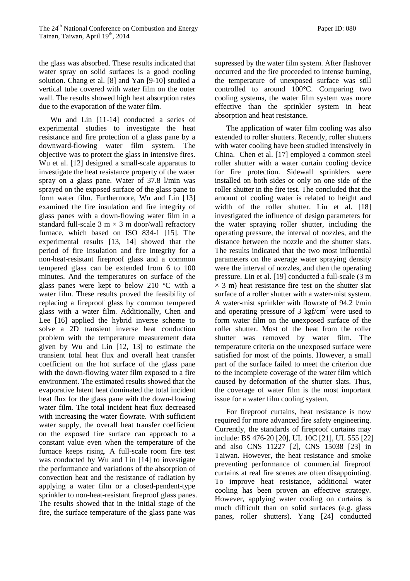the glass was absorbed. These results indicated that water spray on solid surfaces is a good cooling solution. Chang et al. [8] and Yan [9-10] studied a vertical tube covered with water film on the outer wall. The results showed high heat absorption rates due to the evaporation of the water film.

Wu and Lin [11-14] conducted a series of experimental studies to investigate the heat resistance and fire protection of a glass pane by a downward-flowing water film system. The objective was to protect the glass in intensive fires. Wu et al. [12] designed a small-scale apparatus to investigate the heat resistance property of the water spray on a glass pane. Water of 37.8 l/min was sprayed on the exposed surface of the glass pane to form water film. Furthermore, Wu and Lin [13] examined the fire insulation and fire integrity of glass panes with a down-flowing water film in a standard full-scale 3 m  $\times$  3 m door/wall refractory furnace, which based on ISO 834-1 [15]. The experimental results [13, 14] showed that the period of fire insulation and fire integrity for a non-heat-resistant fireproof glass and a common tempered glass can be extended from 6 to 100 minutes. And the temperatures on surface of the glass panes were kept to below 210 °C with a water film. These results proved the feasibility of replacing a fireproof glass by common tempered glass with a water film. Additionally, Chen and Lee [16] applied the hybrid inverse scheme to solve a 2D transient inverse heat conduction problem with the temperature measurement data given by Wu and Lin [12, 13] to estimate the transient total heat flux and overall heat transfer coefficient on the hot surface of the glass pane with the down-flowing water film exposed to a fire environment. The estimated results showed that the evaporative latent heat dominated the total incident heat flux for the glass pane with the down-flowing water film. The total incident heat flux decreased with increasing the water flowrate. With sufficient water supply, the overall heat transfer coefficient on the exposed fire surface can approach to a constant value even when the temperature of the furnace keeps rising. A full-scale room fire test was conducted by Wu and Lin [14] to investigate the performance and variations of the absorption of convection heat and the resistance of radiation by applying a water film or a closed-pendent-type sprinkler to non-heat-resistant fireproof glass panes. The results showed that in the initial stage of the fire, the surface temperature of the glass pane was

supressed by the water film system. After flashover occurred and the fire proceeded to intense burning, the temperature of unexposed surface was still controlled to around 100°C. Comparing two cooling systems, the water film system was more effective than the sprinkler system in heat absorption and heat resistance.

The application of water film cooling was also extended to roller shutters. Recently, roller shutters with water cooling have been studied intensively in China. Chen et al. [17] employed a common steel roller shutter with a water curtain cooling device for fire protection. Sidewall sprinklers were installed on both sides or only on one side of the roller shutter in the fire test. The concluded that the amount of cooling water is related to height and width of the roller shutter. Liu et al. [18] investigated the influence of design parameters for the water spraying roller shutter, including the operating pressure, the interval of nozzles, and the distance between the nozzle and the shutter slats. The results indicated that the two most influential parameters on the average water spraying density were the interval of nozzles, and then the operating pressure. Lin et al. [19] conducted a full-scale (3 m  $\times$  3 m) heat resistance fire test on the shutter slat surface of a roller shutter with a water-mist system. A water-mist sprinkler with flowrate of 94.2 l/min and operating pressure of  $3 \text{ kgf/cm}^2$  were used to form water film on the unexposed surface of the roller shutter. Most of the heat from the roller shutter was removed by water film. The temperature criteria on the unexposed surface were satisfied for most of the points. However, a small part of the surface failed to meet the criterion due to the incomplete coverage of the water film which caused by deformation of the shutter slats. Thus, the coverage of water film is the most important issue for a water film cooling system.

For fireproof curtains, heat resistance is now required for more advanced fire safety engineering. Currently, the standards of fireproof curtains may include: BS 476-20 [20], UL 10C [21], UL 555 [22] and also CNS 11227 [2], CNS 15038 [23] in Taiwan. However, the heat resistance and smoke preventing performance of commercial fireproof curtains at real fire scenes are often disappointing. To improve heat resistance, additional water cooling has been proven an effective strategy. However, applying water cooling on curtains is much difficult than on solid surfaces (e.g. glass panes, roller shutters). Yang [24] conducted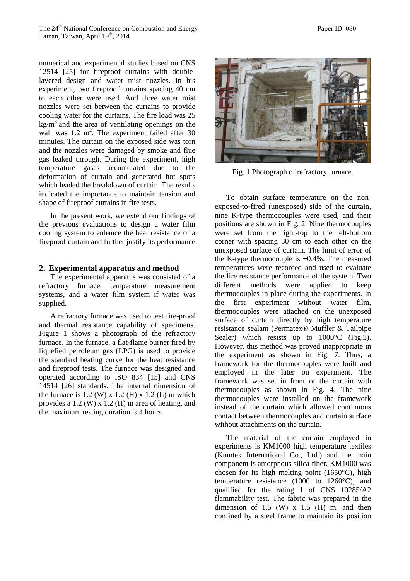numerical and experimental studies based on CNS 12514 [25] for fireproof curtains with doublelayered design and water mist nozzles. In his experiment, two fireproof curtains spacing 40 cm to each other were used. And three water mist nozzles were set between the curtains to provide cooling water for the curtains. The fire load was 25  $kg/m<sup>3</sup>$  and the area of ventilating openings on the wall was  $1.2 \text{ m}^2$ . The experiment failed after 30 minutes. The curtain on the exposed side was torn and the nozzles were damaged by smoke and flue gas leaked through. During the experiment, high temperature gases accumulated due to the deformation of curtain and generated hot spots which leaded the breakdown of curtain. The results indicated the importance to maintain tension and shape of fireproof curtains in fire tests.

In the present work, we extend our findings of the previous evaluations to design a water film cooling system to enhance the heat resistance of a fireproof curtain and further justify its performance.

#### **2. Experimental apparatus and method**

The experimental apparatus was consisted of a refractory furnace, temperature measurement systems, and a water film system if water was supplied.

A refractory furnace was used to test fire-proof and thermal resistance capability of specimens. Figure 1 shows a photograph of the refractory furnace. In the furnace, a flat-flame burner fired by liquefied petroleum gas (LPG) is used to provide the standard heating curve for the heat resistance and fireproof tests. The furnace was designed and operated according to ISO 834 [15] and CNS 14514 [26] standards. The internal dimension of the furnace is  $1.2$  (W) x  $1.2$  (H) x  $1.2$  (L) m which provides a 1.2 (W) x 1.2 (H) m area of heating, and the maximum testing duration is 4 hours.



Fig. 1 Photograph of refractory furnace.

To obtain surface temperature on the nonexposed-to-fired (unexposed) side of the curtain, nine K-type thermocouples were used, and their positions are shown in Fig. 2. Nine thermocouples were set from the right-top to the left-bottom corner with spacing 30 cm to each other on the unexposed surface of curtain. The limit of error of the K-type thermocouple is  $\pm 0.4\%$ . The measured temperatures were recorded and used to evaluate the fire resistance performance of the system. Two different methods were applied to keep thermocouples in place during the experiments. In the first experiment without water film, thermocouples were attached on the unexposed surface of curtain directly by high temperature resistance sealant (Permatex® Muffler & Tailpipe Sealer) which resists up to  $1000^{\circ}$ C (Fig.3). However, this method was proved inappropriate in the experiment as shown in Fig. 7. Thus, a framework for the thermocouples were built and employed in the later on experiment. The framework was set in front of the curtain with thermocouples as shown in Fig. 4. The nine thermocouples were installed on the framework instead of the curtain which allowed continuous contact between thermocouples and curtain surface without attachments on the curtain.

The material of the curtain employed in experiments is KM1000 high temperature textiles (Kumtek International Co., Ltd.) and the main component is amorphous silica fiber. KM1000 was chosen for its high melting point (1650°C), high temperature resistance (1000 to 1260°C), and qualified for the rating 1 of CNS 10285/A2 flammability test. The fabric was prepared in the dimension of 1.5 (W)  $x$  1.5 (H) m, and then confined by a steel frame to maintain its position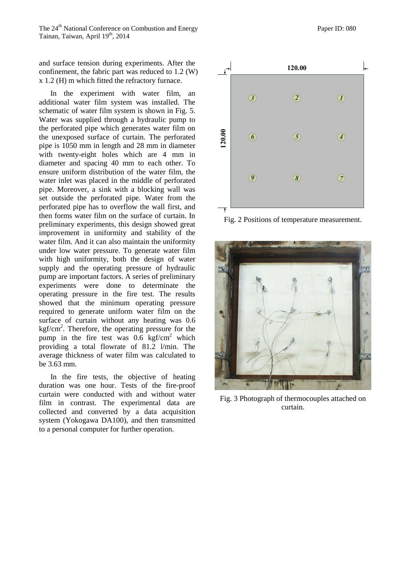The 24<sup>th</sup> National Conference on Combustion and Energy **Paper ID: 080** Paper ID: 080 Tainan, Taiwan, April 19<sup>th</sup>, 2014

and surface tension during experiments. After the confinement, the fabric part was reduced to 1.2 (W) x 1.2 (H) m which fitted the refractory furnace.

In the experiment with water film, an additional water film system was installed. The schematic of water film system is shown in Fig. 5. Water was supplied through a hydraulic pump to the perforated pipe which generates water film on the unexposed surface of curtain. The perforated pipe is 1050 mm in length and 28 mm in diameter with twenty-eight holes which are 4 mm in diameter and spacing 40 mm to each other. To ensure uniform distribution of the water film, the water inlet was placed in the middle of perforated pipe. Moreover, a sink with a blocking wall was set outside the perforated pipe. Water from the perforated pipe has to overflow the wall first, and then forms water film on the surface of curtain. In preliminary experiments, this design showed great improvement in uniformity and stability of the water film. And it can also maintain the uniformity under low water pressure. To generate water film with high uniformity, both the design of water supply and the operating pressure of hydraulic pump are important factors. A series of preliminary experiments were done to determinate the operating pressure in the fire test. The results showed that the minimum operating pressure required to generate uniform water film on the surface of curtain without any heating was 0.6  $k g f/cm<sup>2</sup>$ . Therefore, the operating pressure for the pump in the fire test was  $0.6 \text{ kgf/cm}^2$  which providing a total flowrate of 81.2 l/min. The average thickness of water film was calculated to be 3.63 mm.

In the fire tests, the objective of heating duration was one hour. Tests of the fire-proof curtain were conducted with and without water film in contrast. The experimental data are collected and converted by a data acquisition system (Yokogawa DA100), and then transmitted to a personal computer for further operation.



Fig. 2 Positions of temperature measurement.



Fig. 3 Photograph of thermocouples attached on curtain.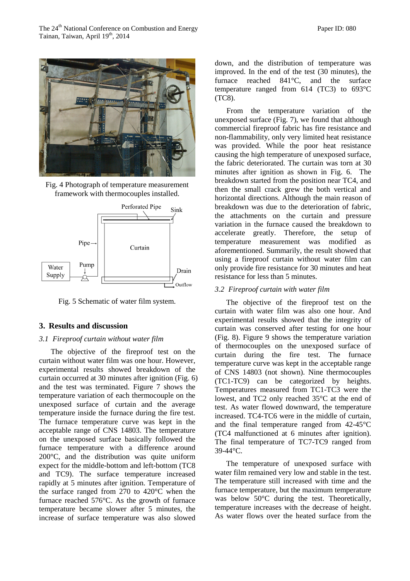The 24<sup>th</sup> National Conference on Combustion and Energy **Paper ID: 080** Paper ID: 080 Tainan, Taiwan, April 19<sup>th</sup>, 2014



Fig. 4 Photograph of temperature measurement framework with thermocouples installed.



Fig. 5 Schematic of water film system.

#### **3. Results and discussion**

#### *3.1 Fireproof curtain without water film*

The objective of the fireproof test on the curtain without water film was one hour. However, experimental results showed breakdown of the curtain occurred at 30 minutes after ignition (Fig. 6) and the test was terminated. Figure 7 shows the temperature variation of each thermocouple on the unexposed surface of curtain and the average temperature inside the furnace during the fire test. The furnace temperature curve was kept in the acceptable range of CNS 14803. The temperature on the unexposed surface basically followed the furnace temperature with a difference around 200°C, and the distribution was quite uniform expect for the middle-bottom and left-bottom (TC8 and TC9). The surface temperature increased rapidly at 5 minutes after ignition. Temperature of the surface ranged from 270 to 420°C when the furnace reached 576°C. As the growth of furnace temperature became slower after 5 minutes, the increase of surface temperature was also slowed

down, and the distribution of temperature was improved. In the end of the test (30 minutes), the furnace reached 841°C, and the surface temperature ranged from 614 (TC3) to 693°C (TC8).

From the temperature variation of the unexposed surface (Fig. 7), we found that although commercial fireproof fabric has fire resistance and non-flammability, only very limited heat resistance was provided. While the poor heat resistance causing the high temperature of unexposed surface, the fabric deteriorated. The curtain was torn at 30 minutes after ignition as shown in Fig. 6. The breakdown started from the position near TC4, and then the small crack grew the both vertical and horizontal directions. Although the main reason of breakdown was due to the deterioration of fabric, the attachments on the curtain and pressure variation in the furnace caused the breakdown to accelerate greatly. Therefore, the setup of temperature measurement was modified as aforementioned. Summarily, the result showed that using a fireproof curtain without water film can only provide fire resistance for 30 minutes and heat resistance for less than 5 minutes.

#### *3.2 Fireproof curtain with water film*

The objective of the fireproof test on the curtain with water film was also one hour. And experimental results showed that the integrity of curtain was conserved after testing for one hour (Fig. 8). Figure 9 shows the temperature variation of thermocouples on the unexposed surface of curtain during the fire test. The furnace temperature curve was kept in the acceptable range of CNS 14803 (not shown). Nine thermocouples (TC1-TC9) can be categorized by heights. Temperatures measured from TC1-TC3 were the lowest, and TC2 only reached 35°C at the end of test. As water flowed downward, the temperature increased. TC4-TC6 were in the middle of curtain, and the final temperature ranged from 42-45°C (TC4 malfunctioned at 6 minutes after ignition). The final temperature of TC7-TC9 ranged from 39-44°C.

The temperature of unexposed surface with water film remained very low and stable in the test. The temperature still increased with time and the furnace temperature, but the maximum temperature was below 50°C during the test. Theoretically, temperature increases with the decrease of height. As water flows over the heated surface from the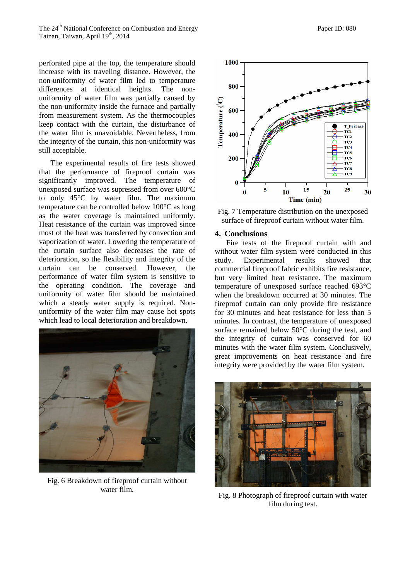perforated pipe at the top, the temperature should increase with its traveling distance. However, the non-uniformity of water film led to temperature differences at identical heights. The nonuniformity of water film was partially caused by the non-uniformity inside the furnace and partially from measurement system. As the thermocouples keep contact with the curtain, the disturbance of the water film is unavoidable. Nevertheless, from the integrity of the curtain, this non-uniformity was still acceptable.

The experimental results of fire tests showed that the performance of fireproof curtain was significantly improved. The temperature of unexposed surface was supressed from over 600°C to only 45°C by water film. The maximum temperature can be controlled below 100°C as long as the water coverage is maintained uniformly. Heat resistance of the curtain was improved since most of the heat was transferred by convection and vaporization of water. Lowering the temperature of the curtain surface also decreases the rate of deterioration, so the flexibility and integrity of the curtain can be conserved. However, the performance of water film system is sensitive to the operating condition. The coverage and uniformity of water film should be maintained which a steady water supply is required. Nonuniformity of the water film may cause hot spots which lead to local deterioration and breakdown.



Fig. 6 Breakdown of fireproof curtain without water film.





## **4. Conclusions**

Fire tests of the fireproof curtain with and without water film system were conducted in this study. Experimental results showed that commercial fireproof fabric exhibits fire resistance, but very limited heat resistance. The maximum temperature of unexposed surface reached 693°C when the breakdown occurred at 30 minutes. The fireproof curtain can only provide fire resistance for 30 minutes and heat resistance for less than 5 minutes. In contrast, the temperature of unexposed surface remained below 50°C during the test, and the integrity of curtain was conserved for 60 minutes with the water film system. Conclusively, great improvements on heat resistance and fire integrity were provided by the water film system.



Fig. 8 Photograph of fireproof curtain with water film during test.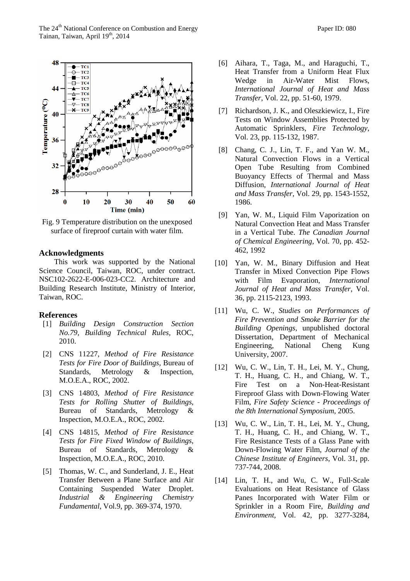The 24<sup>th</sup> National Conference on Combustion and Energy **Paper ID: 080** Paper ID: 080 Tainan, Taiwan, April 19<sup>th</sup>, 2014



Fig. 9 Temperature distribution on the unexposed surface of fireproof curtain with water film.

#### **Acknowledgments**

This work was supported by the National Science Council, Taiwan, ROC, under contract. NSC102-2622-E-006-023-CC2. Architecture and Building Research Institute, Ministry of Interior, Taiwan, ROC.

#### **References**

- [1] *Building Design Construction Section No.79, Building Technical Rules,* ROC, 2010.
- [2] CNS 11227, *Method of Fire Resistance Tests for Fire Door of Buildings,* Bureau of Standards, Metrology & Inspection, M.O.E.A., ROC, 2002.
- [3] CNS 14803, *Method of Fire Resistance Tests for Rolling Shutter of Buildings,*  Bureau of Standards, Metrology & Inspection, M.O.E.A., ROC, 2002.
- [4] CNS 14815, *Method of Fire Resistance Tests for Fire Fixed Window of Buildings,*  Bureau of Standards, Metrology & Inspection, M.O.E.A., ROC, 2010.
- [5] Thomas, W. C., and Sunderland, J. E., Heat Transfer Between a Plane Surface and Air Containing Suspended Water Droplet. *Industrial & Engineering Chemistry Fundamental*, Vol.9, pp. 369-374, 1970.
- [6] Aihara, T., Taga, M., and Haraguchi, T., Heat Transfer from a Uniform Heat Flux Wedge in Air-Water Mist Flows, *International Journal of Heat and Mass Transfer*, Vol. 22, pp. 51-60, 1979.
- [7] Richardson, J. K., and Oleszkiewicz, I., Fire Tests on Window Assemblies Protected by Automatic Sprinklers, *Fire Technology*, Vol. 23, pp. 115-132, 1987.
- [8] Chang, C. J., Lin, T. F., and Yan W. M., Natural Convection Flows in a Vertical Open Tube Resulting from Combined Buoyancy Effects of Thermal and Mass Diffusion, *International Journal of Heat and Mass Transfer*, Vol. 29, pp. 1543-1552, 1986.
- [9] Yan, W. M., Liquid Film Vaporization on Natural Convection Heat and Mass Transfer in a Vertical Tube. *The Canadian Journal of Chemical Engineering,* Vol. 70, pp. 452- 462, 1992
- [10] Yan, W. M., Binary Diffusion and Heat Transfer in Mixed Convection Pipe Flows with Film Evaporation, *International Journal of Heat and Mass Transfer*, Vol. 36, pp. 2115-2123, 1993.
- [11] Wu, C. W., *Studies on Performances of Fire Prevention and Smoke Barrier for the Building Openings*, unpublished doctoral Dissertation, Department of Mechanical Engineering, National Cheng Kung University, 2007.
- [12] Wu, C. W., Lin, T. H., Lei, M. Y., Chung, T. H., Huang, C. H., and Chiang, W. T., Fire Test on a Non-Heat-Resistant Fireproof Glass with Down-Flowing Water Film, *Fire Safety Science - Proceedings of the 8th International Symposium*, 2005.
- [13] Wu, C. W., Lin, T. H., Lei, M. Y., Chung, T. H., Huang, C. H., and Chiang, W. T., Fire Resistance Tests of a Glass Pane with Down-Flowing Water Film, *Journal of the Chinese Institute of Engineers*, Vol. 31, pp. 737-744, 2008.
- [14] Lin, T. H., and Wu, C. W., Full-Scale Evaluations on Heat Resistance of Glass Panes Incorporated with Water Film or Sprinkler in a Room Fire, *Building and Environment,* Vol. 42, pp. 3277-3284,